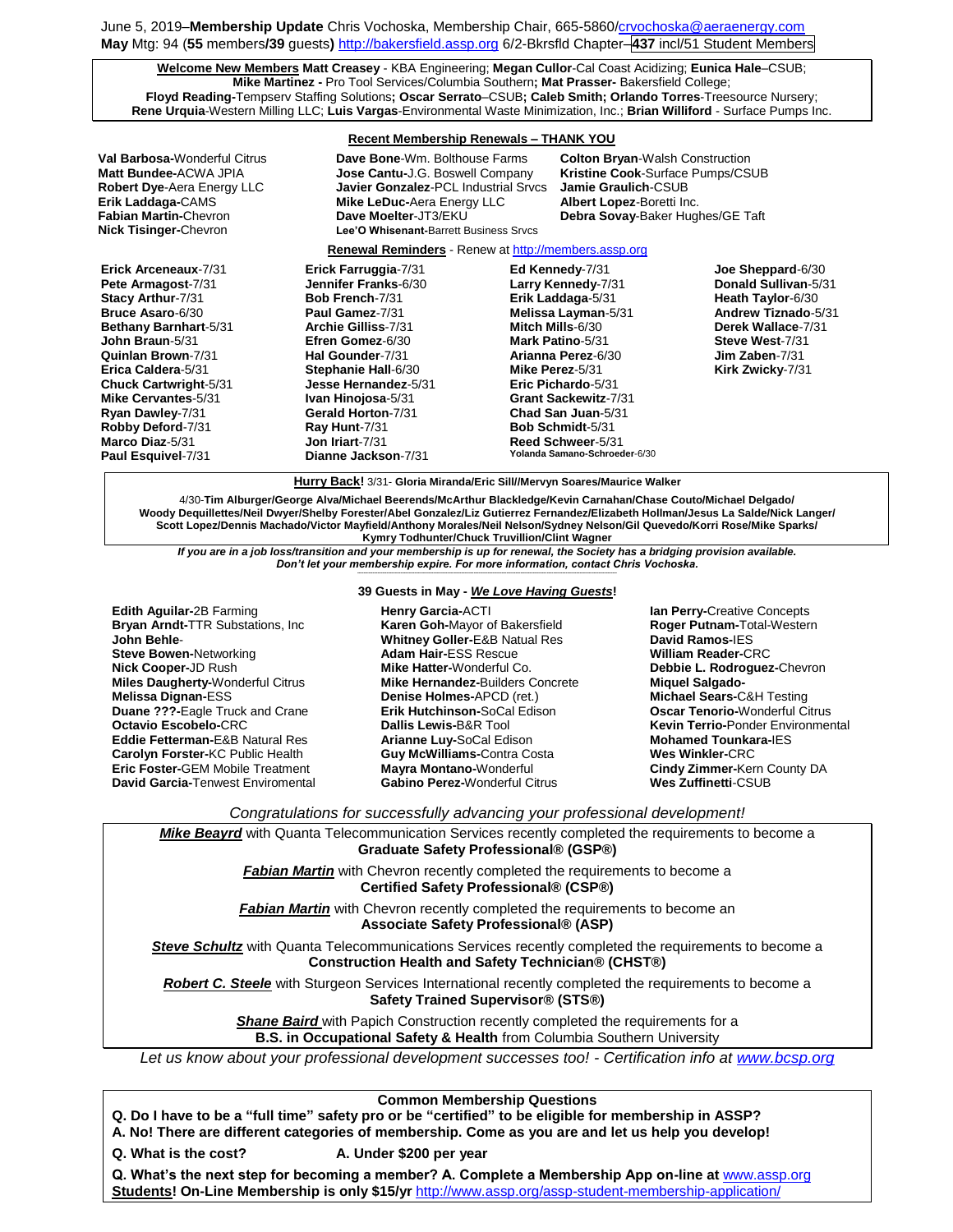June 5, 2019–**Membership Update** Chris Vochoska, Membership Chair, 665-586[0/crvochoska@aeraenergy.com](mailto:crvochoska@aeraenergy.com) **May** Mtg: 94 (**55** members**/39** guests**)** [http://bakersfield.assp.org](http://bakersfield.assp.org/) 6/2-Bkrsfld Chapter–**437** incl/51 Student Members

**Welcome New Members Matt Creasey** - KBA Engineering; **Megan Cullor**-Cal Coast Acidizing; **Eunica Hale**–CSUB; **Mike Martinez -** Pro Tool Services/Columbia Southern**; Mat Prasser-** Bakersfield College; **Floyd Reading-**Tempserv Staffing Solutions**; Oscar Serrato**–CSUB**; Caleb Smith; Orlando Torres**-Treesource Nursery; **Rene Urquia**-Western Milling LLC; **Luis Vargas**-Environmental Waste Minimization, Inc.; **Brian Williford** - Surface Pumps Inc.

### **Recent Membership Renewals – THANK YOU**

|                                                                                                                                                                                                                                                                                                                                           | <u>000 m months of the non-out of the main 100</u>                                                                                                                                                                                                                                                                    |                                     |                                                                                                                                                                                                                                                                           |                                                                                                                                                                      |
|-------------------------------------------------------------------------------------------------------------------------------------------------------------------------------------------------------------------------------------------------------------------------------------------------------------------------------------------|-----------------------------------------------------------------------------------------------------------------------------------------------------------------------------------------------------------------------------------------------------------------------------------------------------------------------|-------------------------------------|---------------------------------------------------------------------------------------------------------------------------------------------------------------------------------------------------------------------------------------------------------------------------|----------------------------------------------------------------------------------------------------------------------------------------------------------------------|
| <b>Val Barbosa-</b> Wonderful Citrus<br>Matt Bundee-ACWA JPIA<br><b>Robert Dye-Aera Energy LLC</b><br>Erik Laddaga-CAMS<br><b>Fabian Martin-Chevron</b><br><b>Nick Tisinger-Chevron</b>                                                                                                                                                   | Dave Bone-Wm. Bolthouse Farms<br>Jose Cantu-J.G. Boswell Company<br><b>Javier Gonzalez-PCL Industrial Srvcs</b><br><b>Mike LeDuc-Aera Energy LLC</b><br>Dave Moelter-JT3/EKU<br>Lee'O Whisenant-Barrett Business Srvcs                                                                                                |                                     | <b>Colton Bryan-</b> Walsh Construction<br><b>Kristine Cook-Surface Pumps/CSUB</b><br>Jamie Graulich-CSUB<br>Albert Lopez-Boretti Inc.<br>Debra Sovay-Baker Hughes/GE Taft                                                                                                |                                                                                                                                                                      |
|                                                                                                                                                                                                                                                                                                                                           | <b>Renewal Reminders</b> - Renew at http://members.assp.org                                                                                                                                                                                                                                                           |                                     |                                                                                                                                                                                                                                                                           |                                                                                                                                                                      |
| Erick Arceneaux-7/31<br>Pete Armagost-7/31<br>Stacy Arthur-7/31<br><b>Bruce Asaro-6/30</b><br><b>Bethany Barnhart-5/31</b><br>John Braun-5/31<br>Quinlan Brown-7/31<br>Erica Caldera-5/31<br><b>Chuck Cartwright-5/31</b><br>Mike Cervantes-5/31<br>Ryan Dawley-7/31<br>Robby Deford-7/31<br>Marco Diaz-5/31<br><b>Paul Esquivel-7/31</b> | Erick Farruggia-7/31<br>Jennifer Franks-6/30<br><b>Bob French-7/31</b><br>Paul Gamez-7/31<br><b>Archie Gilliss-7/31</b><br>Efren Gomez-6/30<br>Hal Gounder-7/31<br>Stephanie Hall-6/30<br>Jesse Hernandez-5/31<br>Ivan Hinojosa-5/31<br>Gerald Horton-7/31<br>Ray Hunt-7/31<br>Jon Iriart-7/31<br>Dianne Jackson-7/31 | Mitch Mills-6/30<br>Mike Perez-5/31 | Ed Kennedy-7/31<br>Larry Kennedy-7/31<br>Erik Laddaga-5/31<br>Melissa Layman-5/31<br>Mark Patino-5/31<br>Arianna Perez-6/30<br>Eric Pichardo-5/31<br>Grant Sackewitz-7/31<br>Chad San Juan-5/31<br>Bob Schmidt-5/31<br>Reed Schweer-5/31<br>Yolanda Samano-Schroeder-6/30 | Joe Sheppard-6/30<br>Donald Sullivan-5/31<br>Heath Taylor-6/30<br>Andrew Tiznado-5/31<br>Derek Wallace-7/31<br>Steve West-7/31<br>Jim Zaben-7/31<br>Kirk Zwicky-7/31 |

**Hurry Back!** 3/31- **Gloria Miranda/Eric Sill//Mervyn Soares/Maurice Walker**

4/30-**Tim Alburger/George Alva/Michael Beerends/McArthur Blackledge/Kevin Carnahan/Chase Couto/Michael Delgado/ Woody Dequillettes/Neil Dwyer/Shelby Forester/Abel Gonzalez/Liz Gutierrez Fernandez/Elizabeth Hollman/Jesus La Salde/Nick Langer/ Scott Lopez/Dennis Machado/Victor Mayfield/Anthony Morales/Neil Nelson/Sydney Nelson/Gil Quevedo/Korri Rose/Mike Sparks/ Kymry Todhunter/Chuck Truvillion/Clint Wagner**

*If you are in a job loss/transition and your membership is up for renewal, the Society has a bridging provision available. Don't let your membership expire. For more information, contact Chris Vochoska.*  **-----------------------------------------------------------------------------------------------------------------------------------------------------------------------**

**Edith Aguilar-**2B Farming **Bryan Arndt-**TTR Substations, Inc **John Behle**-**Steve Bowen-**Networking **Nick Cooper-**JD Rush **Miles Daugherty-**Wonderful Citrus **Melissa Dignan-**ESS **Duane ???-**Eagle Truck and Crane **Octavio Escobelo-**CRC **Eddie Fetterman-**E&B Natural Res **Carolyn Forster-**KC Public Health **Eric Foster-**GEM Mobile Treatment **David Garcia-**Tenwest Enviromental

# **39 Guests in May -** *We Love Having Guests***!**

**Henry Garcia-**ACTI **Karen Goh-**Mayor of Bakersfield **Whitney Goller-**E&B Natual Res **Adam Hair-**ESS Rescue **Mike Hatter-**Wonderful Co. **Mike Hernandez-**Builders Concrete **Denise Holmes-**APCD (ret.) **Erik Hutchinson-**SoCal Edison **Dallis Lewis-**B&R Tool **Arianne Luy-**SoCal Edison **Guy McWilliams-**Contra Costa **Mayra Montano-**Wonderful **Gabino Perez-**Wonderful Citrus

**Ian Perry-**Creative Concepts **Roger Putnam-**Total-Western **David Ramos-**IES **William Reader-**CRC **Debbie L. Rodroguez-**Chevron **Miquel Salgado-Michael Sears-**C&H Testing **Oscar Tenorio-**Wonderful Citrus **Kevin Terrio-**Ponder Environmental **Mohamed Tounkara-**IES **Wes Winkler-**CRC **Cindy Zimmer-**Kern County DA **Wes Zuffinetti**-CSUB

*Congratulations for successfully advancing your professional development!*

*Mike Beayrd* with Quanta Telecommunication Services recently completed the requirements to become a **Graduate Safety Professional® (GSP®)**

> *Fabian Martin* with Chevron recently completed the requirements to become a **Certified Safety Professional® (CSP®)**

> *Fabian Martin* with Chevron recently completed the requirements to become an **Associate Safety Professional® (ASP)**

**Steve Schultz** with Quanta Telecommunications Services recently completed the requirements to become a **Construction Health and Safety Technician® (CHST®)**

**Robert C. Steele** with Sturgeon Services International recently completed the requirements to become a **Safety Trained Supervisor® (STS®)**

> **Shane Baird** with Papich Construction recently completed the requirements for a **B.S. in Occupational Safety & Health** from Columbia Southern University

*Let us know about your professional development successes too! - Certification info at [www.bcsp.org](http://www.bcsp.org/)*

## **Common Membership Questions**

**Q. Do I have to be a "full time" safety pro or be "certified" to be eligible for membership in ASSP?** 

**A. No! There are different categories of membership. Come as you are and let us help you develop!**

**Q. What is the cost? A. Under \$200 per year**

Q. What's the next step for becoming a member? A. Complete a Membership App on-line at **[www.assp.org](http://www.assp.org/) Students! On-Line Membership is only \$15/yr** <http://www.assp.org/assp-student-membership-application/>